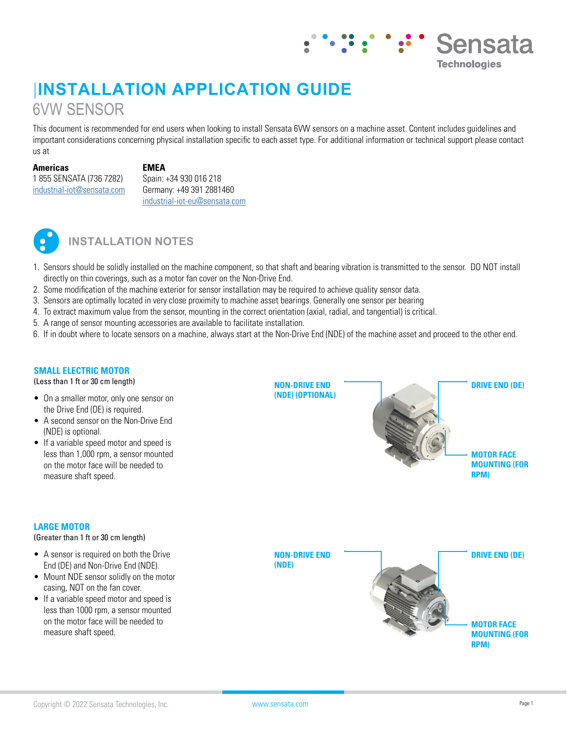# **|INSTALLATION APPLICATION GUIDE** 6VW SENSOR

This document is recommended for end users when looking to install Sensata 6VW sensors on a machine asset. Content includes guidelines and important considerations concerning physical installation specific to each asset type. For additional information or technical support please contact us at

**Americas**

#### **EMEA**

1 855 SENSATA (736 7282) [industrial-iot@sensata.com](mailto:industrial-iot%40sensata.com?subject=) Spain: +34 930 016 218 Germany: +49 391 2881460 [industrial-iot-eu@sensata.com](mailto:industrial-iot-eu%40sensata.com?subject=)



### **INSTALLATION NOTES**

- 1. Sensors should be solidly installed on the machine component, so that shaft and bearing vibration is transmitted to the sensor. DO NOT install directly on thin coverings, such as a motor fan cover on the Non-Drive End.
- 2. Some modification of the machine exterior for sensor installation may be required to achieve quality sensor data.
- 3. Sensors are optimally located in very close proximity to machine asset bearings. Generally one sensor per bearing
- 4. To extract maximum value from the sensor, mounting in the correct orientation (axial, radial, and tangential) is critical.
- 5. A range of sensor mounting accessories are available to facilitate installation.
- 6. If in doubt where to locate sensors on a machine, always start at the Non-Drive End (NDE) of the machine asset and proceed to the other end.

#### **SMALL ELECTRIC MOTOR**

(Less than 1 ft or 30 cm length)

- On a smaller motor, only one sensor on the Drive End (DE) is required.
- A second sensor on the Non-Drive End (NDE) is optional.
- If a variable speed motor and speed is less than 1,000 rpm, a sensor mounted on the motor face will be needed to measure shaft speed.

## **NON-DRIVE END (NDE) (OPTIONAL) DRIVE END (DE) MOTOR FACE MOUNTING (FOR RPM)**

#### **LARGE MOTOR**

(Greater than 1 ft or 30 cm length)

- A sensor is required on both the Drive End (DE) and Non-Drive End (NDE).
- Mount NDE sensor solidly on the motor casing, NOT on the fan cover.
- If a variable speed motor and speed is less than 1000 rpm, a sensor mounted on the motor face will be needed to measure shaft speed.





Sensata

**Technologies**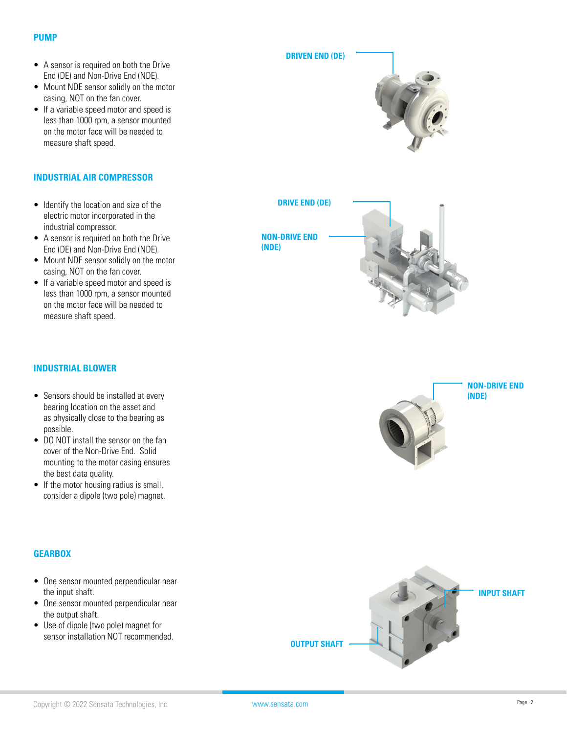#### **PUMP**

- A sensor is required on both the Drive End (DE) and Non-Drive End (NDE).
- Mount NDE sensor solidly on the motor casing, NOT on the fan cover.
- If a variable speed motor and speed is less than 1000 rpm, a sensor mounted on the motor face will be needed to measure shaft speed.

#### **INDUSTRIAL AIR COMPRESSOR**

- Identify the location and size of the electric motor incorporated in the industrial compressor.
- A sensor is required on both the Drive End (DE) and Non-Drive End (NDE).
- Mount NDE sensor solidly on the motor casing, NOT on the fan cover.
- If a variable speed motor and speed is less than 1000 rpm, a sensor mounted on the motor face will be needed to measure shaft speed.

#### **INDUSTRIAL BLOWER**

- Sensors should be installed at every bearing location on the asset and as physically close to the bearing as possible.
- DO NOT install the sensor on the fan cover of the Non-Drive End. Solid mounting to the motor casing ensures the best data quality.
- If the motor housing radius is small, consider a dipole (two pole) magnet.

#### **GEARBOX**

- One sensor mounted perpendicular near the input shaft.
- One sensor mounted perpendicular near the output shaft.
- Use of dipole (two pole) magnet for sensor installation NOT recommended.







**DRIVE END (DE)**

**NON-DRIVE END (NDE)**